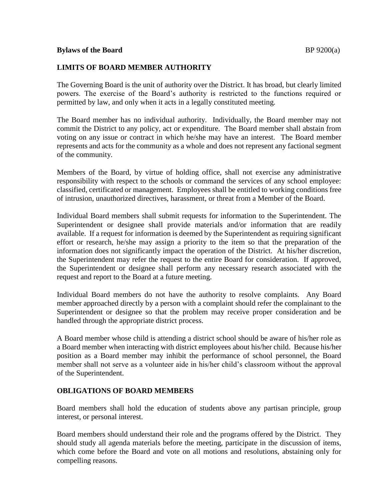## **LIMITS OF BOARD MEMBER AUTHORITY**

The Governing Board is the unit of authority over the District. It has broad, but clearly limited powers. The exercise of the Board's authority is restricted to the functions required or permitted by law, and only when it acts in a legally constituted meeting.

The Board member has no individual authority. Individually, the Board member may not commit the District to any policy, act or expenditure. The Board member shall abstain from voting on any issue or contract in which he/she may have an interest. The Board member represents and acts for the community as a whole and does not represent any factional segment of the community.

Members of the Board, by virtue of holding office, shall not exercise any administrative responsibility with respect to the schools or command the services of any school employee: classified, certificated or management. Employees shall be entitled to working conditions free of intrusion, unauthorized directives, harassment, or threat from a Member of the Board.

Individual Board members shall submit requests for information to the Superintendent. The Superintendent or designee shall provide materials and/or information that are readily available. If a request for information is deemed by the Superintendent as requiring significant effort or research, he/she may assign a priority to the item so that the preparation of the information does not significantly impact the operation of the District. At his/her discretion, the Superintendent may refer the request to the entire Board for consideration. If approved, the Superintendent or designee shall perform any necessary research associated with the request and report to the Board at a future meeting.

Individual Board members do not have the authority to resolve complaints. Any Board member approached directly by a person with a complaint should refer the complainant to the Superintendent or designee so that the problem may receive proper consideration and be handled through the appropriate district process.

A Board member whose child is attending a district school should be aware of his/her role as a Board member when interacting with district employees about his/her child. Because his/her position as a Board member may inhibit the performance of school personnel, the Board member shall not serve as a volunteer aide in his/her child's classroom without the approval of the Superintendent.

## **OBLIGATIONS OF BOARD MEMBERS**

Board members shall hold the education of students above any partisan principle, group interest, or personal interest.

Board members should understand their role and the programs offered by the District. They should study all agenda materials before the meeting, participate in the discussion of items, which come before the Board and vote on all motions and resolutions, abstaining only for compelling reasons.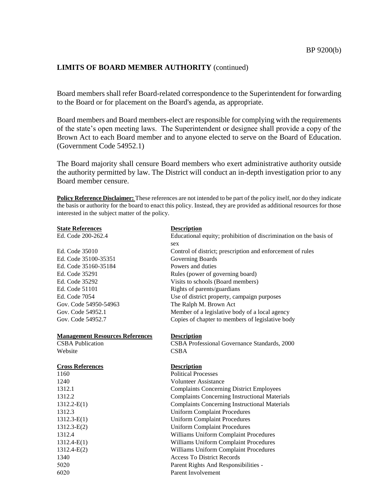## **LIMITS OF BOARD MEMBER AUTHORITY** (continued)

Board members shall refer Board-related correspondence to the Superintendent for forwarding to the Board or for placement on the Board's agenda, as appropriate.

Board members and Board members-elect are responsible for complying with the requirements of the state's open meeting laws. The Superintendent or designee shall provide a copy of the Brown Act to each Board member and to anyone elected to serve on the Board of Education. (Government Code 54952.1)

The Board majority shall censure Board members who exert administrative authority outside the authority permitted by law. The District will conduct an in-depth investigation prior to any Board member censure.

**Policy Reference Disclaimer:** These references are not intended to be part of the policy itself, nor do they indicate the basis or authority for the board to enact this policy. Instead, they are provided as additional resources for those interested in the subject matter of the policy.

| <b>State References</b><br>Ed. Code 200-262.4 | <b>Description</b><br>Educational equity; prohibition of discrimination on the basis of<br>sex |
|-----------------------------------------------|------------------------------------------------------------------------------------------------|
| Ed. Code 35010                                | Control of district; prescription and enforcement of rules                                     |
| Ed. Code 35100-35351                          | Governing Boards                                                                               |
| Ed. Code 35160-35184                          | Powers and duties                                                                              |
| Ed. Code 35291                                | Rules (power of governing board)                                                               |
| Ed. Code 35292                                | Visits to schools (Board members)                                                              |
| Ed. Code 51101                                | Rights of parents/guardians                                                                    |
| Ed. Code 7054                                 | Use of district property, campaign purposes                                                    |
| Gov. Code 54950-54963                         | The Ralph M. Brown Act                                                                         |
| Gov. Code 54952.1                             | Member of a legislative body of a local agency                                                 |
| Gov. Code 54952.7                             | Copies of chapter to members of legislative body                                               |
| <b>Management Resources References</b>        | <b>Description</b>                                                                             |
| <b>CSBA</b> Publication                       | CSBA Professional Governance Standards, 2000                                                   |
| Website                                       | <b>CSBA</b>                                                                                    |
| <b>Cross References</b>                       | <b>Description</b>                                                                             |
| 1160                                          | <b>Political Processes</b>                                                                     |
| 1240                                          | <b>Volunteer Assistance</b>                                                                    |
| 1312.1                                        | <b>Complaints Concerning District Employees</b>                                                |
| 1312.2                                        | <b>Complaints Concerning Instructional Materials</b>                                           |
| $1312.2-E(1)$                                 | <b>Complaints Concerning Instructional Materials</b>                                           |
| 1312.3                                        | <b>Uniform Complaint Procedures</b>                                                            |
| $1312.3-E(1)$                                 | <b>Uniform Complaint Procedures</b>                                                            |
| $1312.3 - E(2)$                               | <b>Uniform Complaint Procedures</b>                                                            |
| 1312.4                                        | Williams Uniform Complaint Procedures                                                          |
| $1312.4-E(1)$                                 | Williams Uniform Complaint Procedures                                                          |
| $1312.4-E(2)$                                 | Williams Uniform Complaint Procedures                                                          |
| 1340                                          | <b>Access To District Records</b>                                                              |
| 5020                                          | Parent Rights And Responsibilities -                                                           |
| 6020                                          | Parent Involvement                                                                             |